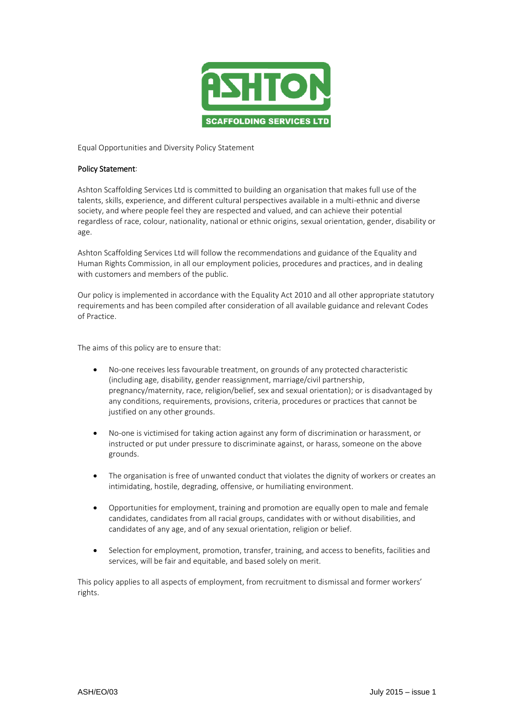

Equal Opportunities and Diversity Policy Statement

## Policy Statement:

Ashton Scaffolding Services Ltd is committed to building an organisation that makes full use of the talents, skills, experience, and different cultural perspectives available in a multi-ethnic and diverse society, and where people feel they are respected and valued, and can achieve their potential regardless of race, colour, nationality, national or ethnic origins, sexual orientation, gender, disability or age.

Ashton Scaffolding Services Ltd will follow the recommendations and guidance of the Equality and Human Rights Commission, in all our employment policies, procedures and practices, and in dealing with customers and members of the public.

Our policy is implemented in accordance with the Equality Act 2010 and all other appropriate statutory requirements and has been compiled after consideration of all available guidance and relevant Codes of Practice.

The aims of this policy are to ensure that:

- No-one receives less favourable treatment, on grounds of any protected characteristic (including age, disability, gender reassignment, marriage/civil partnership, pregnancy/maternity, race, religion/belief, sex and sexual orientation); or is disadvantaged by any conditions, requirements, provisions, criteria, procedures or practices that cannot be justified on any other grounds.
- No-one is victimised for taking action against any form of discrimination or harassment, or instructed or put under pressure to discriminate against, or harass, someone on the above grounds.
- The organisation is free of unwanted conduct that violates the dignity of workers or creates an intimidating, hostile, degrading, offensive, or humiliating environment.
- Opportunities for employment, training and promotion are equally open to male and female candidates, candidates from all racial groups, candidates with or without disabilities, and candidates of any age, and of any sexual orientation, religion or belief.
- Selection for employment, promotion, transfer, training, and access to benefits, facilities and services, will be fair and equitable, and based solely on merit.

This policy applies to all aspects of employment, from recruitment to dismissal and former workers' rights.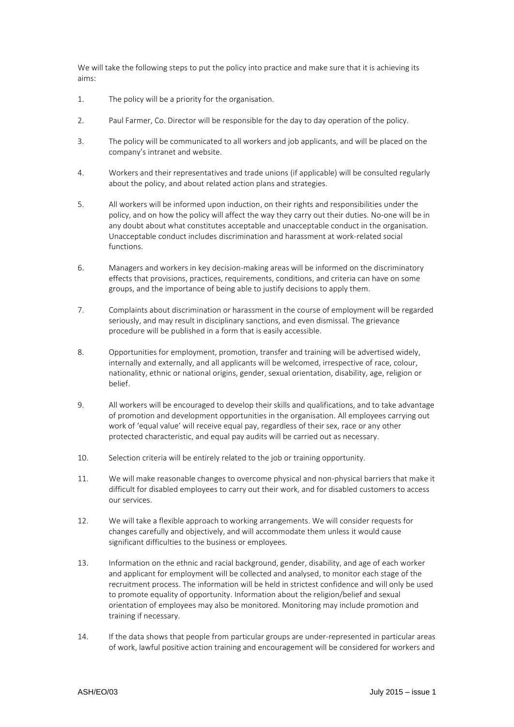We will take the following steps to put the policy into practice and make sure that it is achieving its aims:

- 1. The policy will be a priority for the organisation.
- 2. Paul Farmer, Co. Director will be responsible for the day to day operation of the policy.
- 3. The policy will be communicated to all workers and job applicants, and will be placed on the company's intranet and website.
- 4. Workers and their representatives and trade unions (if applicable) will be consulted regularly about the policy, and about related action plans and strategies.
- 5. All workers will be informed upon induction, on their rights and responsibilities under the policy, and on how the policy will affect the way they carry out their duties. No-one will be in any doubt about what constitutes acceptable and unacceptable conduct in the organisation. Unacceptable conduct includes discrimination and harassment at work-related social functions.
- 6. Managers and workers in key decision-making areas will be informed on the discriminatory effects that provisions, practices, requirements, conditions, and criteria can have on some groups, and the importance of being able to justify decisions to apply them.
- 7. Complaints about discrimination or harassment in the course of employment will be regarded seriously, and may result in disciplinary sanctions, and even dismissal. The grievance procedure will be published in a form that is easily accessible.
- 8. Opportunities for employment, promotion, transfer and training will be advertised widely, internally and externally, and all applicants will be welcomed, irrespective of race, colour, nationality, ethnic or national origins, gender, sexual orientation, disability, age, religion or belief.
- 9. All workers will be encouraged to develop their skills and qualifications, and to take advantage of promotion and development opportunities in the organisation. All employees carrying out work of 'equal value' will receive equal pay, regardless of their sex, race or any other protected characteristic, and equal pay audits will be carried out as necessary.
- 10. Selection criteria will be entirely related to the job or training opportunity.
- 11. We will make reasonable changes to overcome physical and non-physical barriers that make it difficult for disabled employees to carry out their work, and for disabled customers to access our services.
- 12. We will take a flexible approach to working arrangements. We will consider requests for changes carefully and objectively, and will accommodate them unless it would cause significant difficulties to the business or employees.
- 13. Information on the ethnic and racial background, gender, disability, and age of each worker and applicant for employment will be collected and analysed, to monitor each stage of the recruitment process. The information will be held in strictest confidence and will only be used to promote equality of opportunity. Information about the religion/belief and sexual orientation of employees may also be monitored. Monitoring may include promotion and training if necessary.
- 14. If the data shows that people from particular groups are under-represented in particular areas of work, lawful positive action training and encouragement will be considered for workers and